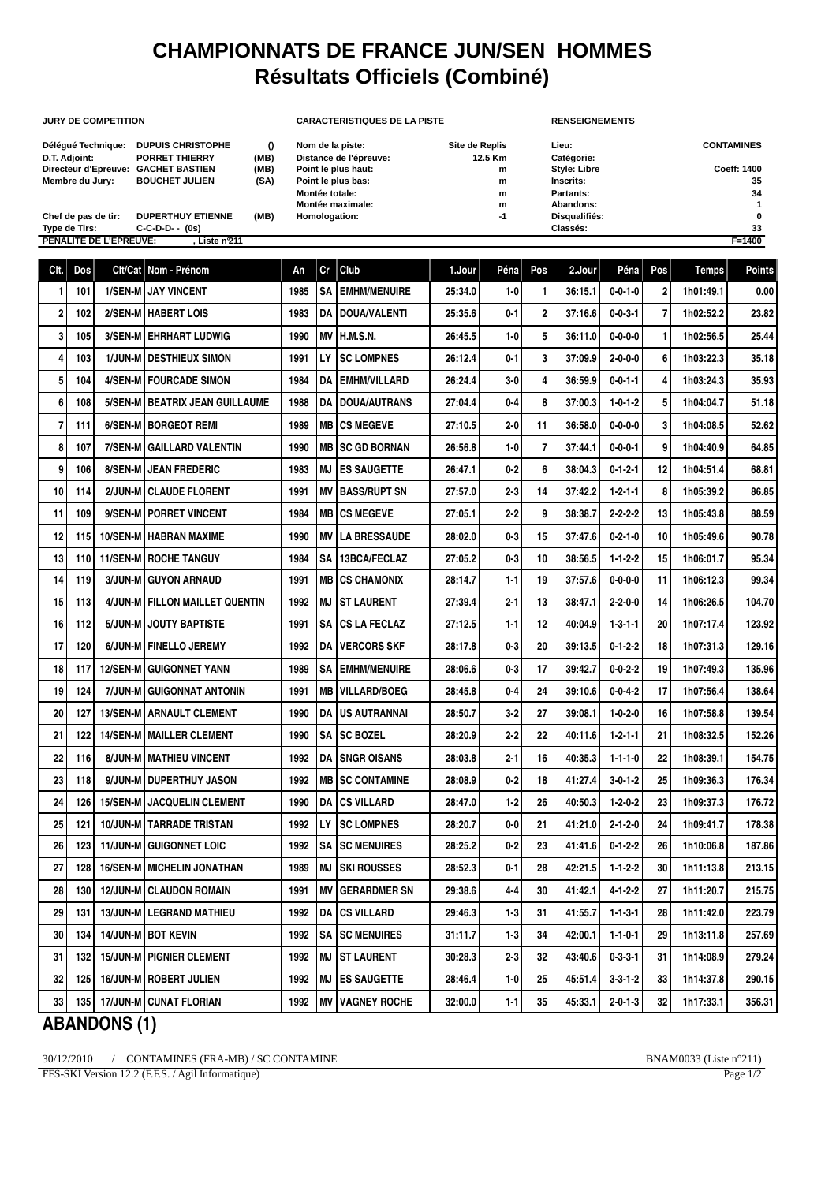# **CHAMPIONNATS DE FRANCE JUN/SEN HOMMES Résultats Officiels (Combiné)**

| Délégué Technique:   | <b>DUPUIS CHRISTOPHE</b>  | $\Omega$ |
|----------------------|---------------------------|----------|
| D.T. Adjoint:        | <b>PORRET THIERRY</b>     | (MB)     |
| Directeur d'Epreuve: | <b>GACHET BASTIEN</b>     | (MB)     |
| Membre du Jury:      | <b>BOUCHET JULIEN</b>     | (SA)     |
| Chof do non do tir:  | <b>NUDEDTULIV ETIEMME</b> | IMD      |

### **JURY DE COMPETITION CARACTERISTIQUES DE LA PISTE RENSEIGNEMENTS**

| Délégué Technique:                  | <b>DUPUIS CHRISTOPHE</b> |      | Nom de la piste:       | Site de Replis | Lieu:               | <b>CONTAMINES</b> |
|-------------------------------------|--------------------------|------|------------------------|----------------|---------------------|-------------------|
| D.T. Adjoint:                       | <b>PORRET THIERRY</b>    | (MB) | Distance de l'épreuve: | 12.5 Km        | Catégorie:          |                   |
| Directeur d'Epreuve: GACHET BASTIEN |                          | (MB) | Point le plus haut:    | m              | <b>Style: Libre</b> | Coeff: 1400       |
| Membre du Jurv:                     | <b>BOUCHET JULIEN</b>    | (SA) | Point le plus bas:     | m              | Inscrits:           | 35                |
|                                     |                          |      | Montée totale:         | m              | Partants:           | 34                |
|                                     |                          |      | Montée maximale:       | m              | Abandons:           |                   |
| Chef de pas de tir:                 | <b>DUPERTHUY ETIENNE</b> | (MB) | Homologation:          | -1             | Disqualifiés:       | 0                 |
| Type de Tirs:                       | $C-C-D-D--(0s)$          |      |                        |                | Classés:            | 33                |
| <b>BELLALITE BELLEBBELDIE</b>       | 1.1.1.1.00.4.4           |      |                        |                |                     | <b>PALA</b>       |

Chef de pas de tir: DUPERTHUY ETIENNE (MB) Homologation:  $-1$  Type de Tirs:  $C-C-D-D-1$  (0s) **PENALITE DE L'EPREUVE: , Liste n°211 F=1400**

| CIt.            | Dos | Clt/Cat         | Nom - Prénom                        | Αn   | Cr  | Club                     | 1.Jour  | Péna    | Pos            | 2.Jour  | Péna            | Pos | <b>Temps</b> | <b>Points</b> |
|-----------------|-----|-----------------|-------------------------------------|------|-----|--------------------------|---------|---------|----------------|---------|-----------------|-----|--------------|---------------|
| 1               | 101 |                 | 1/SEN-M JAY VINCENT                 | 1985 | SΑ  | <b>EMHM/MENUIRE</b>      | 25:34.0 | 1-0     | 1              | 36:15.1 | $0 - 0 - 1 - 0$ | 2   | 1h01:49.1    | 0.00          |
| $\overline{2}$  | 102 |                 | 2/SEN-M   HABERT LOIS               | 1983 | DA  | <b>DOUA/VALENTI</b>      | 25:35.6 | 0-1     | $\overline{2}$ | 37:16.6 | $0 - 0 - 3 - 1$ | 7   | 1h02:52.2    | 23.82         |
| 3               | 105 |                 | 3/SEN-M   EHRHART LUDWIG            | 1990 | ΜV  | H.M.S.N.                 | 26:45.5 | $1-0$   | 5              | 36:11.0 | $0 - 0 - 0 - 0$ | 1   | 1h02:56.5    | 25.44         |
| 4               | 103 |                 | 1/JUN-M   DESTHIEUX SIMON           | 1991 | LY. | <b>SC LOMPNES</b>        | 26:12.4 | $0 - 1$ | 3              | 37:09.9 | $2 - 0 - 0 - 0$ | 6   | 1h03:22.3    | 35.18         |
| 5               | 104 |                 | 4/SEN-M   FOURCADE SIMON            | 1984 | DA  | <b>EMHM/VILLARD</b>      | 26:24.4 | $3-0$   | 4              | 36:59.9 | $0 - 0 - 1 - 1$ | 4   | 1h03:24.3    | 35.93         |
| 6               | 108 |                 | 5/SEN-M   BEATRIX JEAN GUILLAUME    | 1988 | DA  | <b>DOUA/AUTRANS</b>      | 27:04.4 | 0-4     | 8              | 37:00.3 | $1 - 0 - 1 - 2$ | 5   | 1h04:04.7    | 51.18         |
|                 | 111 | 6/SEN-M         | <b>I BORGEOT REMI</b>               | 1989 | MВ  | <b>CS MEGEVE</b>         | 27:10.5 | $2 - 0$ | 11             | 36:58.0 | $0 - 0 - 0 - 0$ | 3   | 1h04:08.5    | 52.62         |
| 8               | 107 | 7/SEN-M         | <b>GAILLARD VALENTIN</b>            | 1990 | MВ  | <b>SC GD BORNAN</b>      | 26:56.8 | $1 - 0$ | $\overline{7}$ | 37:44.1 | $0 - 0 - 0 - 1$ | 9   | 1h04:40.9    | 64.85         |
| 9               | 106 |                 | 8/SEN-M   JEAN FREDERIC             | 1983 | MJ  | <b>ES SAUGETTE</b>       | 26:47.1 | 0-2     | 6              | 38:04.3 | $0 - 1 - 2 - 1$ | 12  | 1h04:51.4    | 68.81         |
| 10              | 114 | 2/JUN-M         | <b>CLAUDE FLORENT</b>               | 1991 | ΜV  | <b>BASS/RUPT SN</b>      | 27:57.0 | $2 - 3$ | 14             | 37:42.2 | $1 - 2 - 1 - 1$ | 8   | 1h05:39.2    | 86.85         |
| 11              | 109 |                 | 9/SEN-M   PORRET VINCENT            | 1984 | MВ  | <b>CS MEGEVE</b>         | 27:05.1 | $2 - 2$ | 9              | 38:38.7 | $2 - 2 - 2 - 2$ | 13  | 1h05:43.8    | 88.59         |
| 12              | 115 |                 | <b>10/SEN-M   HABRAN MAXIME</b>     | 1990 | ΜV  | <b>LA BRESSAUDE</b>      | 28:02.0 | $0-3$   | 15             | 37:47.6 | $0 - 2 - 1 - 0$ | 10  | 1h05:49.6    | 90.78         |
| 13              | 110 |                 | <b>11/SEN-M   ROCHE TANGUY</b>      | 1984 | SΑ  | 13BCA/FECLAZ             | 27:05.2 | 0-3     | 10             | 38:56.5 | $1 - 1 - 2 - 2$ | 15  | 1h06:01.7    | 95.34         |
| 14              | 119 |                 | 3/JUN-M GUYON ARNAUD                | 1991 | MВ  | <b>CS CHAMONIX</b>       | 28:14.7 | $1-1$   | 19             | 37:57.6 | $0 - 0 - 0 - 0$ | 11  | 1h06:12.3    | 99.34         |
| 15              | 113 |                 | 4/JUN-M   FILLON MAILLET QUENTIN    | 1992 | MJ  | <b>ST LAURENT</b>        | 27:39.4 | 2-1     | 13             | 38:47.1 | $2 - 2 - 0 - 0$ | 14  | 1h06:26.5    | 104.70        |
| 16              | 112 |                 | 5/JUN-M   JOUTY BAPTISTE            | 1991 | SA  | <b>CS LA FECLAZ</b>      | 27:12.5 | $1 - 1$ | 12             | 40:04.9 | $1 - 3 - 1 - 1$ | 20  | 1h07:17.4    | 123.92        |
| 17              | 120 |                 | 6/JUN-M   FINELLO JEREMY            | 1992 | DA  | <b>VERCORS SKF</b>       | 28:17.8 | 0-3     | 20             | 39:13.5 | $0 - 1 - 2 - 2$ | 18  | 1h07:31.3    | 129.16        |
| 18              | 117 | <b>12/SEN-M</b> | <b>GUIGONNET YANN</b>               | 1989 | SΑ  | <b>EMHM/MENUIRE</b>      | 28:06.6 | $0 - 3$ | 17             | 39:42.7 | $0 - 0 - 2 - 2$ | 19  | 1h07:49.3    | 135.96        |
| 19              | 124 |                 | 7/JUN-M GUIGONNAT ANTONIN           | 1991 | MВ  | <b>VILLARD/BOEG</b>      | 28:45.8 | $0-4$   | 24             | 39:10.6 | $0 - 0 - 4 - 2$ | 17  | 1h07:56.4    | 138.64        |
| 20              | 127 |                 | <b>13/SEN-M   ARNAULT CLEMENT</b>   | 1990 | DA  | <b>US AUTRANNAI</b>      | 28:50.7 | $3 - 2$ | 27             | 39:08.1 | $1 - 0 - 2 - 0$ | 16  | 1h07:58.8    | 139.54        |
| 21              | 122 |                 | <b>14/SEN-M   MAILLER CLEMENT</b>   | 1990 | SΑ  | <b>SC BOZEL</b>          | 28:20.9 | $2 - 2$ | 22             | 40:11.6 | $1 - 2 - 1 - 1$ | 21  | 1h08:32.5    | 152.26        |
| 22              | 116 |                 | 8/JUN-M   MATHIEU VINCENT           | 1992 | DA  | <b>SNGR OISANS</b>       | 28:03.8 | $2 - 1$ | 16             | 40:35.3 | $1 - 1 - 1 - 0$ | 22  | 1h08:39.1    | 154.75        |
| 23              | 118 |                 | 9/JUN-M I DUPERTHUY JASON           | 1992 | MВ  | <b>SC CONTAMINE</b>      | 28:08.9 | $0 - 2$ | 18             | 41:27.4 | $3 - 0 - 1 - 2$ | 25  | 1h09:36.3    | 176.34        |
| 24              | 126 |                 | <b>15/SEN-M   JACQUELIN CLEMENT</b> | 1990 | DA  | <b>CS VILLARD</b>        | 28:47.0 | $1-2$   | 26             | 40:50.3 | $1 - 2 - 0 - 2$ | 23  | 1h09:37.3    | 176.72        |
| 25              | 121 |                 | <b>10/JUN-M   TARRADE TRISTAN</b>   | 1992 | LY. | <b>SC LOMPNES</b>        | 28:20.7 | $0-0$   | 21             | 41:21.0 | $2 - 1 - 2 - 0$ | 24  | 1h09:41.7    | 178.38        |
| 26              | 123 | <b>11/JUN-M</b> | <b>GUIGONNET LOIC</b>               | 1992 | SA  | <b>SC MENUIRES</b>       | 28:25.2 | $0 - 2$ | 23             | 41:41.6 | $0 - 1 - 2 - 2$ | 26  | 1h10:06.8    | 187.86        |
| 27              | 128 |                 | <b>16/SEN-M MICHELIN JONATHAN</b>   | 1989 | MJ  | <b>SKI ROUSSES</b>       | 28:52.3 | $0 - 1$ | 28             | 42:21.5 | $1 - 1 - 2 - 2$ | 30  | 1h11:13.8    | 213.15        |
| 28              | 130 |                 | 12/JUN-M CLAUDON ROMAIN             | 1991 |     | MV GERARDMER SN          | 29:38.6 | $4-4$   | $30\,$         | 41:42.1 | $4 - 1 - 2 - 2$ | 27  | 1h11:20.7    | 215.75        |
| 29 <sub>l</sub> | 131 |                 | <b>13/JUN-M   LEGRAND MATHIEU</b>   | 1992 |     | <b>DA ICS VILLARD</b>    | 29:46.3 | $1-3$   | 31             | 41:55.7 | 1-1-3-1         | 28  | 1h11:42.0    | 223.79        |
| 30              | 134 |                 | <b>14/JUN-M BOT KEVIN</b>           | 1992 |     | <b>SA ISC MENUIRES</b>   | 31:11.7 | $1-3$   | 34             | 42:00.1 | $1 - 1 - 0 - 1$ | 29  | 1h13:11.8    | 257.69        |
| 31              | 132 |                 | <b>15/JUN-M   PIGNIER CLEMENT</b>   | 1992 |     | <b>MJ ST LAURENT</b>     | 30:28.3 | 2-3     | 32             | 43:40.6 | $0 - 3 - 3 - 1$ | 31  | 1h14:08.9    | 279.24        |
| 32              | 125 |                 | <b>16/JUN-M   ROBERT JULIEN</b>     | 1992 |     | MJ ES SAUGETTE           | 28:46.4 | 1-0     | 25             | 45:51.4 | $3 - 3 - 1 - 2$ | 33  | 1h14:37.8    | 290.15        |
| 33              | 135 |                 | 17/JUN-M   CUNAT FLORIAN            | 1992 |     | <b>MV   VAGNEY ROCHE</b> | 32:00.0 | $1-1$   | 35             | 45:33.1 | $2 - 0 - 1 - 3$ | 32  | 1h17:33.1    | 356.31        |
|                 |     |                 |                                     |      |     |                          |         |         |                |         |                 |     |              |               |

## **ABANDONS (1)**